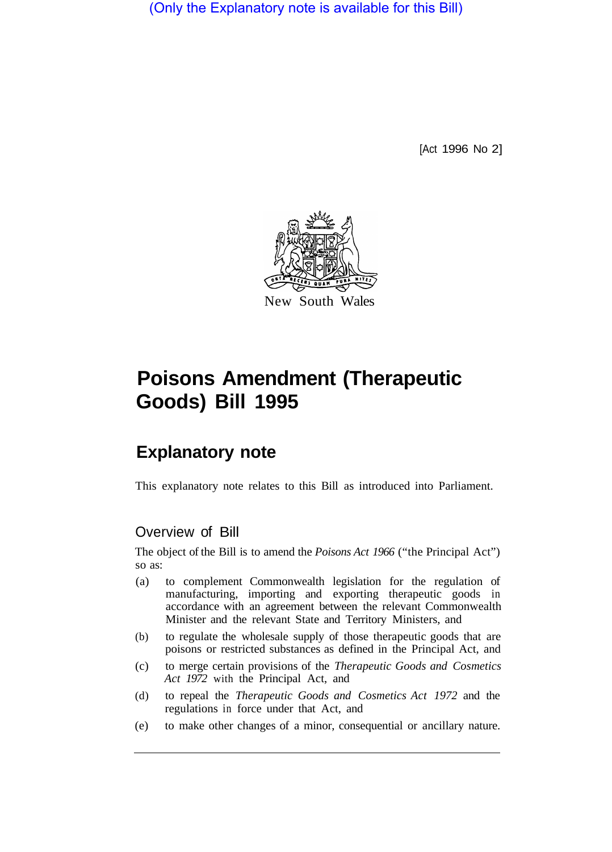(Only the Explanatory note is available for this Bill)

[Act 1996 No 2]



# **Poisons Amendment (Therapeutic Goods) Bill 1995**

# **Explanatory note**

This explanatory note relates to this Bill as introduced into Parliament.

## Overview of Bill

The object of the Bill is to amend the *Poisons Act 1966* ("the Principal Act") so as:

- (a) to complement Commonwealth legislation for the regulation of manufacturing, importing and exporting therapeutic goods in accordance with an agreement between the relevant Commonwealth Minister and the relevant State and Territory Ministers, and
- (b) to regulate the wholesale supply of those therapeutic goods that are poisons or restricted substances as defined in the Principal Act, and
- (c) to merge certain provisions of the *Therapeutic Goods and Cosmetics Act 1972* with the Principal Act, and
- (d) to repeal the *Therapeutic Goods and Cosmetics Act 1972* and the regulations in force under that Act, and
- (e) to make other changes of a minor, consequential or ancillary nature.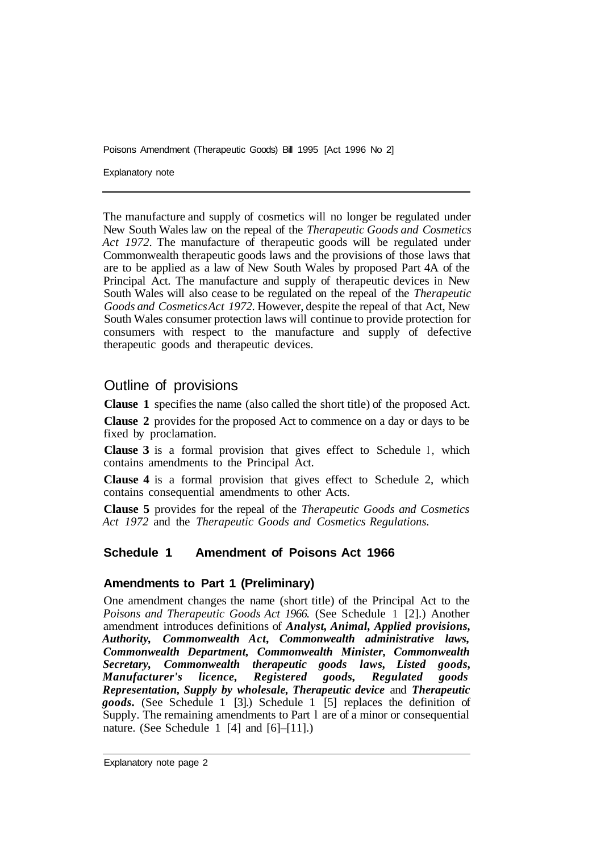Explanatory note

The manufacture and supply of cosmetics will no longer be regulated under New South Wales law on the repeal of the *Therapeutic Goods and Cosmetics Act 1972.* The manufacture of therapeutic goods will be regulated under Commonwealth therapeutic goods laws and the provisions of those laws that are to be applied as a law of New South Wales by proposed Part 4A of the Principal Act. The manufacture and supply of therapeutic devices in New South Wales will also cease to be regulated on the repeal of the *Therapeutic Goods and Cosmetics Act 1972.* However, despite the repeal of that Act, New South Wales consumer protection laws will continue to provide protection for consumers with respect to the manufacture and supply of defective therapeutic goods and therapeutic devices.

### Outline of provisions

**Clause 1** specifies the name (also called the short title) of the proposed Act.

**Clause 2** provides for the proposed Act to commence on a day or days to be fixed by proclamation.

**Clause 3** is a formal provision that gives effect to Schedule l, which contains amendments to the Principal Act.

**Clause 4** is a formal provision that gives effect to Schedule 2, which contains consequential amendments to other Acts.

**Clause 5** provides for the repeal of the *Therapeutic Goods and Cosmetics Act 1972* and the *Therapeutic Goods and Cosmetics Regulations.* 

#### **Schedule 1 Amendment of Poisons Act 1966**

#### **Amendments to Part 1 (Preliminary)**

One amendment changes the name (short title) of the Principal Act to the *Poisons and Therapeutic Goods Act 1966.* (See Schedule 1 [2].) Another amendment introduces definitions of *Analyst, Animal, Applied provisions, Authority, Commonwealth Act, Commonwealth administrative laws, Common wealth Department, Commonwealth Minister, Common wealth Secretary, Common wealth therapeutic goods laws, Listed goods, Manufacturer's licence, Registered goods, Regulated goods Representation, Supply by wholesale, Therapeutic device* and *Therapeutic goods.* (See Schedule 1 [3].) Schedule 1 [5] replaces the definition of Supply. The remaining amendments to Part l are of a minor or consequential nature. (See Schedule 1 [4] and [6]–[11].)

Explanatory note page 2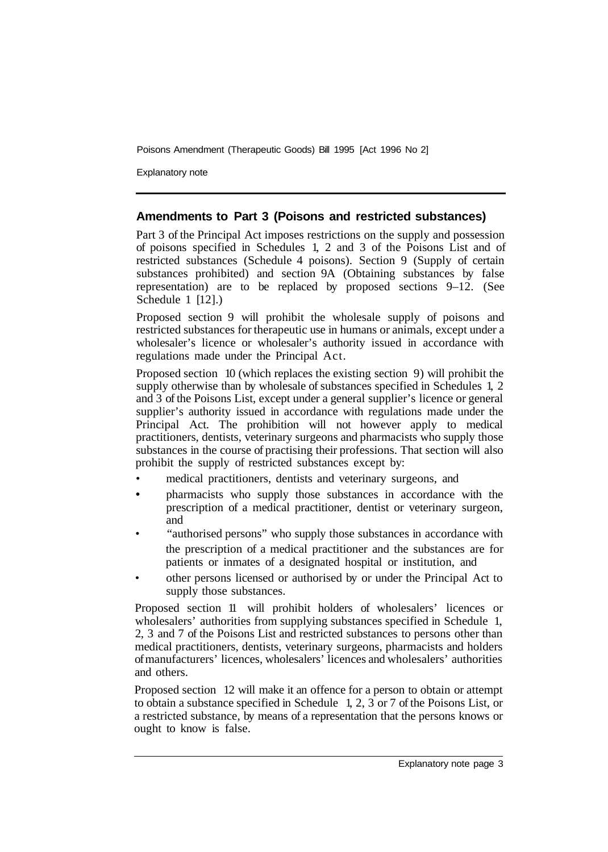Explanatory note

#### **Amendments to Part 3 (Poisons and restricted substances)**

Part 3 of the Principal Act imposes restrictions on the supply and possession of poisons specified in Schedules 1, 2 and 3 of the Poisons List and of restricted substances (Schedule 4 poisons). Section 9 (Supply of certain substances prohibited) and section 9A (Obtaining substances by false representation) are to be replaced by proposed sections 9–12. (See Schedule  $1$   $[12]$ .)

Proposed section 9 will prohibit the wholesale supply of poisons and restricted substances for therapeutic use in humans or animals, except under a wholesaler's licence or wholesaler's authority issued in accordance with regulations made under the Principal Act.

Proposed section 10 (which replaces the existing section 9) will prohibit the supply otherwise than by wholesale of substances specified in Schedules 1, 2 and 3 of the Poisons List, except under a general supplier's licence or general supplier's authority issued in accordance with regulations made under the Principal Act. The prohibition will not however apply to medical practitioners, dentists, veterinary surgeons and pharmacists who supply those substances in the course of practising their professions. That section will also prohibit the supply of restricted substances except by:

- medical practitioners, dentists and veterinary surgeons, and
- pharmacists who supply those substances in accordance with the prescription of a medical practitioner, dentist or veterinary surgeon, and •
- "authorised persons" who supply those substances in accordance with the prescription of a medical practitioner and the substances are for patients or inmates of a designated hospital or institution, and
- other persons licensed or authorised by or under the Principal Act to supply those substances.

Proposed section 11 will prohibit holders of wholesalers' licences or wholesalers' authorities from supplying substances specified in Schedule 1, 2, 3 and 7 of the Poisons List and restricted substances to persons other than medical practitioners, dentists, veterinary surgeons, pharmacists and holders of manufacturers' licences, wholesalers' licences and wholesalers' authorities and others.

Proposed section 12 will make it an offence for a person to obtain or attempt to obtain a substance specified in Schedule 1, 2, 3 or 7 of the Poisons List, or a restricted substance, by means of a representation that the persons knows or ought to know is false.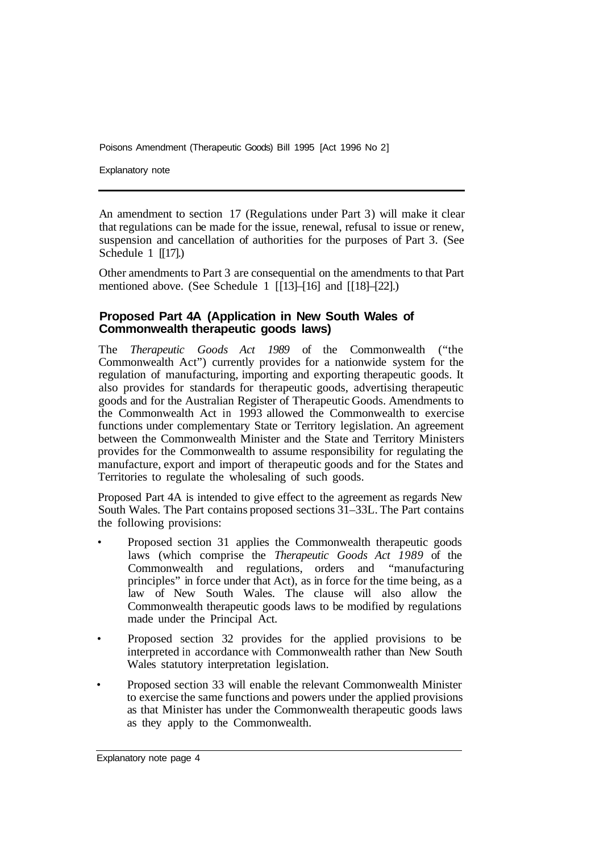Explanatory note

An amendment to section 17 (Regulations under Part 3) will make it clear that regulations can be made for the issue, renewal, refusal to issue or renew, suspension and cancellation of authorities for the purposes of Part 3. (See Schedule  $1$  [[17].)

Other amendments to Part 3 are consequential on the amendments to that Part mentioned above. (See Schedule 1 [13]–[16] and [18]–[22].)

#### **Proposed Part 4A (Application in New South Wales of Commonwealth therapeutic goods laws)**

The *Therapeutic Goods Act 1989* of the Commonwealth ("the Commonwealth Act") currently provides for a nationwide system for the regulation of manufacturing, importing and exporting therapeutic goods. It also provides for standards for therapeutic goods, advertising therapeutic goods and for the Australian Register of Therapeutic Goods. Amendments to the Commonwealth Act in 1993 allowed the Commonwealth to exercise functions under complementary State or Territory legislation. An agreement between the Commonwealth Minister and the State and Territory Ministers provides for the Commonwealth to assume responsibility for regulating the manufacture, export and import of therapeutic goods and for the States and Territories to regulate the wholesaling of such goods.

Proposed Part 4A is intended to give effect to the agreement as regards New South Wales. The Part contains proposed sections 31–33L. The Part contains the following provisions:

- Proposed section 31 applies the Commonwealth therapeutic goods laws (which comprise the *Therapeutic Goods Act 1989* of the Commonwealth and regulations, orders and "manufacturing principles" in force under that Act), as in force for the time being, as a law of New South Wales. The clause will also allow the Commonwealth therapeutic goods laws to be modified by regulations made under the Principal Act.
- Proposed section 32 provides for the applied provisions to be interpreted in accordance with Commonwealth rather than New South Wales statutory interpretation legislation.
- Proposed section 33 will enable the relevant Commonwealth Minister to exercise the same functions and powers under the applied provisions as that Minister has under the Commonwealth therapeutic goods laws as they apply to the Commonwealth.

Explanatory note page 4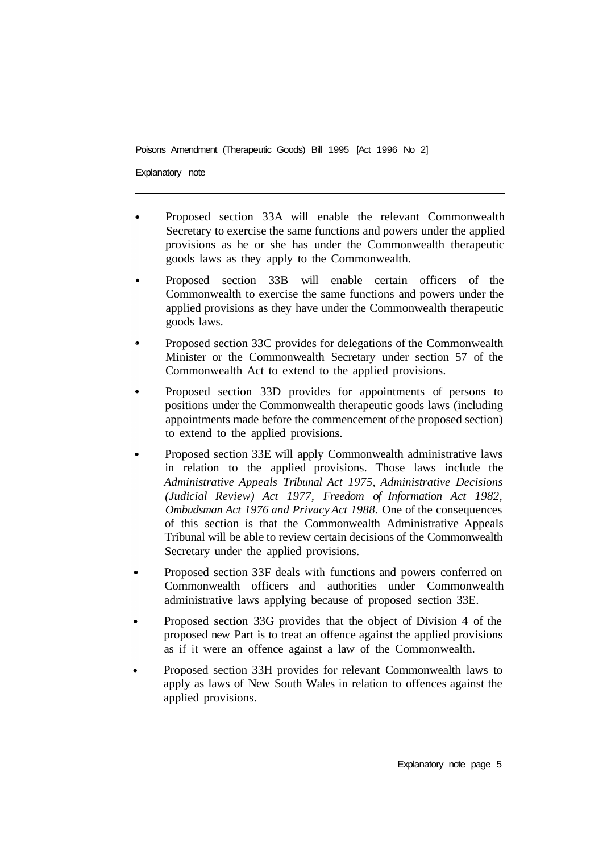Explanatory note

- Proposed section 33A will enable the relevant Commonwealth Secretary to exercise the same functions and powers under the applied provisions as he or she has under the Commonwealth therapeutic goods laws as they apply to the Commonwealth.
- Proposed section 33B will enable certain officers of the Commonwealth to exercise the same functions and powers under the applied provisions as they have under the Commonwealth therapeutic goods laws.
- Proposed section 33C provides for delegations of the Commonwealth Minister or the Commonwealth Secretary under section 57 of the Commonwealth Act to extend to the applied provisions.
- Proposed section 33D provides for appointments of persons to positions under the Commonwealth therapeutic goods laws (including appointments made before the commencement of the proposed section) to extend to the applied provisions.
- Proposed section 33E will apply Commonwealth administrative laws in relation to the applied provisions. Those laws include the *Administrative Appeals Tribunal Act 1975, Administrative Decisions (Judicial Review) Act 1977, Freedom of Information Act 1982, Ombudsman Act 1976 and Privacy Act 1988.* One of the consequences of this section is that the Commonwealth Administrative Appeals Tribunal will be able to review certain decisions of the Commonwealth Secretary under the applied provisions.
- Proposed section 33F deals with functions and powers conferred on Commonwealth officers and authorities under Commonwealth administrative laws applying because of proposed section 33E.
- Proposed section 33G provides that the object of Division 4 of the proposed new Part is to treat an offence against the applied provisions as if it were an offence against a law of the Commonwealth.
- Proposed section 33H provides for relevant Commonwealth laws to apply as laws of New South Wales in relation to offences against the applied provisions.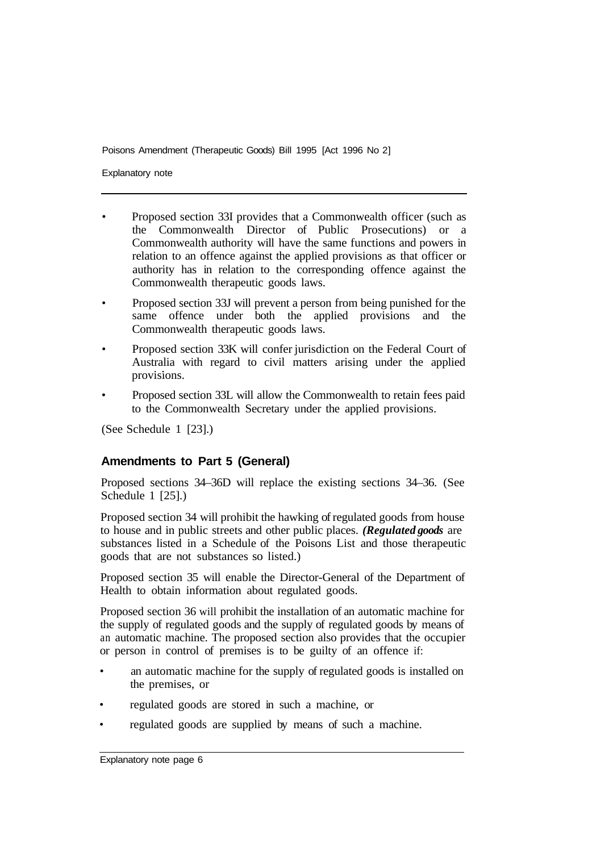Explanatory note

- Proposed section 33I provides that a Commonwealth officer (such as the Commonwealth Director of Public Prosecutions) or a Commonwealth authority will have the same functions and powers in relation to an offence against the applied provisions as that officer or authority has in relation to the corresponding offence against the Commonwealth therapeutic goods laws.
- Proposed section 33J will prevent a person from being punished for the same offence under both the applied provisions and the Commonwealth therapeutic goods laws.
- Proposed section 33K will confer jurisdiction on the Federal Court of Australia with regard to civil matters arising under the applied provisions.
- Proposed section 33L will allow the Commonwealth to retain fees paid to the Commonwealth Secretary under the applied provisions.

(See Schedule 1 [23].)

#### **Amendments to Part 5 (General)**

Proposed sections 34–36D will replace the existing sections 34–36. (See Schedule 1 [25].)

Proposed section 34 will prohibit the hawking of regulated goods from house to house and in public streets and other public places. *(Regulated goods* are substances listed in a Schedule of the Poisons List and those therapeutic goods that are not substances so listed.)

Proposed section 35 will enable the Director-General of the Department of Health to obtain information about regulated goods.

Proposed section 36 will prohibit the installation of an automatic machine for the supply of regulated goods and the supply of regulated goods by means of an automatic machine. The proposed section also provides that the occupier or person in control of premises is to be guilty of an offence if:

- an automatic machine for the supply of regulated goods is installed on the premises, or
- regulated goods are stored in such a machine, or
- regulated goods are supplied by means of such a machine.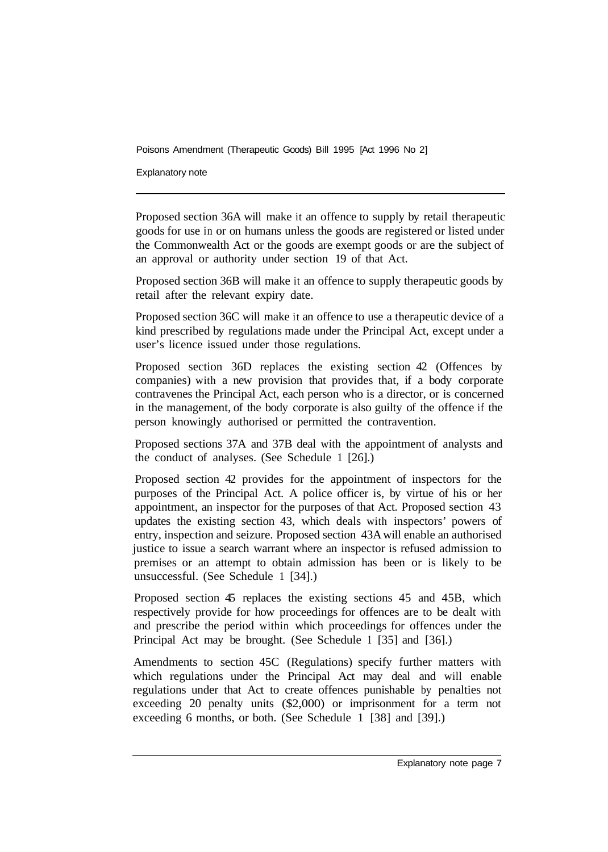Explanatory note

Proposed section 36A will make it an offence to supply by retail therapeutic goods for use in or on humans unless the goods are registered or listed under the Commonwealth Act or the goods are exempt goods or are the subject of an approval or authority under section 19 of that Act.

Proposed section 36B will make it an offence to supply therapeutic goods by retail after the relevant expiry date.

Proposed section 36C will make it an offence to use a therapeutic device of a kind prescribed by regulations made under the Principal Act, except under a user's licence issued under those regulations.

Proposed section 36D replaces the existing section 42 (Offences by companies) with a new provision that provides that, if a body corporate contravenes the Principal Act, each person who is a director, or is concerned in the management, of the body corporate is also guilty of the offence if the person knowingly authorised or permitted the contravention.

Proposed sections 37A and 37B deal with the appointment of analysts and the conduct of analyses. (See Schedule 1 [26].)

Proposed section 42 provides for the appointment of inspectors for the purposes of the Principal Act. A police officer is, by virtue of his or her appointment, an inspector for the purposes of that Act. Proposed section 43 updates the existing section 43, which deals with inspectors' powers of entry, inspection and seizure. Proposed section 43A will enable an authorised justice to issue a search warrant where an inspector is refused admission to premises or an attempt to obtain admission has been or is likely to be unsuccessful. (See Schedule 1 [34].)

Proposed section 45 replaces the existing sections 45 and 45B, which respectively provide for how proceedings for offences are to be dealt with and prescribe the period within which proceedings for offences under the Principal Act may be brought. (See Schedule 1 [35] and [36].)

Amendments to section 45C (Regulations) specify further matters with which regulations under the Principal Act may deal and will enable regulations under that Act to create offences punishable by penalties not exceeding 20 penalty units (\$2,000) or imprisonment for a term not exceeding 6 months, or both. (See Schedule 1 [38] and [39].)